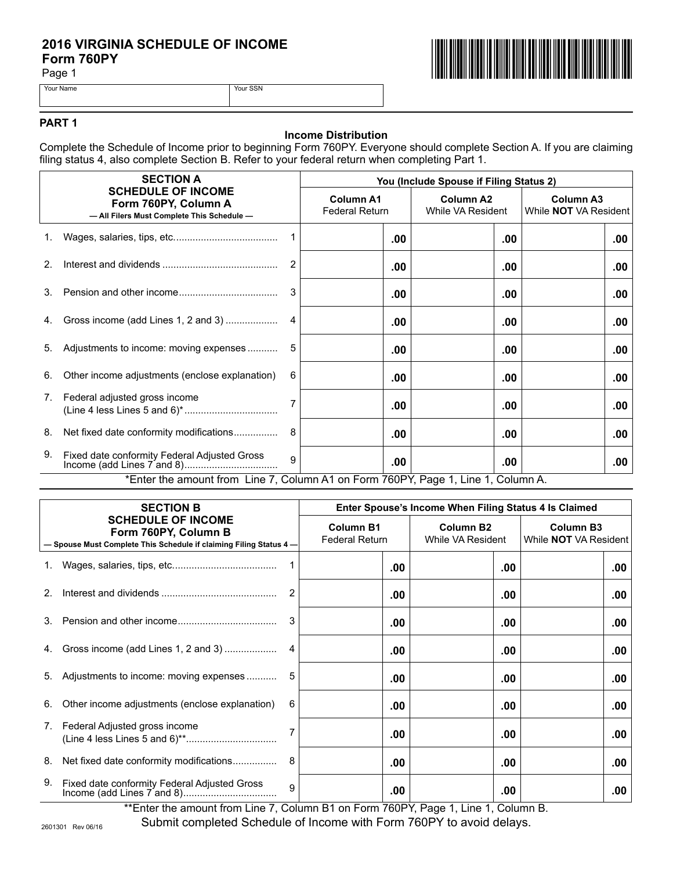# 2016 VIRGINIA SCHEDULE OF INCOME<br>Form 760PY<br><sup>Page 1</sup> **Form 760PY**

Page 1





Your Name Your SSN



#### **PART 1**

# **Income Distribution**

Complete the Schedule of Income prior to beginning Form 760PY. Everyone should complete Section A. If you are claiming filing status 4, also complete Section B. Refer to your federal return when completing Part 1.

|                | <b>SECTION A</b><br><b>SCHEDULE OF INCOME</b><br>Form 760PY, Column A<br>- All Filers Must Complete This Schedule - |              | You (Include Spouse if Filing Status 2)   |     |                                       |                                                  |
|----------------|---------------------------------------------------------------------------------------------------------------------|--------------|-------------------------------------------|-----|---------------------------------------|--------------------------------------------------|
|                |                                                                                                                     |              | <b>Column A1</b><br><b>Federal Return</b> |     | <b>Column A2</b><br>While VA Resident | <b>Column A3</b><br>While <b>NOT</b> VA Resident |
| 1.             |                                                                                                                     |              |                                           | .00 | .00                                   | .00                                              |
| 2 <sub>1</sub> |                                                                                                                     | 2            |                                           | .00 | .00                                   | .00                                              |
| 3.             |                                                                                                                     | 3            |                                           | .00 | .00                                   | .00                                              |
| 4.             | Gross income (add Lines 1, 2 and 3)                                                                                 | 4            |                                           | .00 | .00                                   | .00                                              |
| 5.             | Adjustments to income: moving expenses                                                                              |              |                                           | .00 | .00                                   | .00                                              |
| 6.             | Other income adjustments (enclose explanation)                                                                      | 6            |                                           | .00 | .00                                   | .00                                              |
| 7.             | Federal adjusted gross income                                                                                       |              |                                           | .00 | $.00 \,$                              | .00                                              |
| 8.             | Net fixed date conformity modifications                                                                             | 8            |                                           | .00 | .00                                   | .00                                              |
| 9.             | Fixed date conformity Federal Adjusted Gross                                                                        | $\mathbf{Q}$ |                                           | .00 | $.00 \,$                              | .00                                              |
|                | *Enter the amount from Line 7, Column A1 on Form 760PY, Page 1, Line 1, Column A.                                   |              |                                           |     |                                       |                                                  |

| <b>SECTION B</b><br><b>SCHEDULE OF INCOME</b><br>Form 760PY, Column B<br>- Spouse Must Complete This Schedule if claiming Filing Status 4- |                                                | Enter Spouse's Income When Filing Status 4 Is Claimed |          |                                       |  |                                                  |  |     |
|--------------------------------------------------------------------------------------------------------------------------------------------|------------------------------------------------|-------------------------------------------------------|----------|---------------------------------------|--|--------------------------------------------------|--|-----|
|                                                                                                                                            |                                                | <b>Column B1</b><br><b>Federal Return</b>             |          | <b>Column B2</b><br>While VA Resident |  | <b>Column B3</b><br>While <b>NOT</b> VA Resident |  |     |
|                                                                                                                                            |                                                |                                                       | .00      |                                       |  | .00                                              |  | .00 |
| 2.                                                                                                                                         |                                                | 2                                                     | .00      |                                       |  | .00                                              |  | .00 |
| $3_{-}$                                                                                                                                    |                                                |                                                       | .00      |                                       |  | .00                                              |  | .00 |
| 4.                                                                                                                                         | Gross income (add Lines 1, 2 and 3)            | 4                                                     | .00      |                                       |  | .00                                              |  | .00 |
| 5.                                                                                                                                         | Adjustments to income: moving expenses         |                                                       | .00      |                                       |  | .00                                              |  | .00 |
| 6.                                                                                                                                         | Other income adjustments (enclose explanation) | 6                                                     | $.00 \,$ |                                       |  | .00                                              |  | .00 |
| 7.                                                                                                                                         | Federal Adjusted gross income                  |                                                       | .00      |                                       |  | .00                                              |  | .00 |
| 8.                                                                                                                                         | Net fixed date conformity modifications        | 8                                                     | $.00 \,$ |                                       |  | .00                                              |  | .00 |
| 9.                                                                                                                                         | Fixed date conformity Federal Adjusted Gross   | 9                                                     | .00      |                                       |  | .00                                              |  | .00 |

\*\*Enter the amount from Line 7, Column B1 on Form 760PY, Page 1, Line 1, Column B. Submit completed Schedule of Income with Form 760PY to avoid delays.